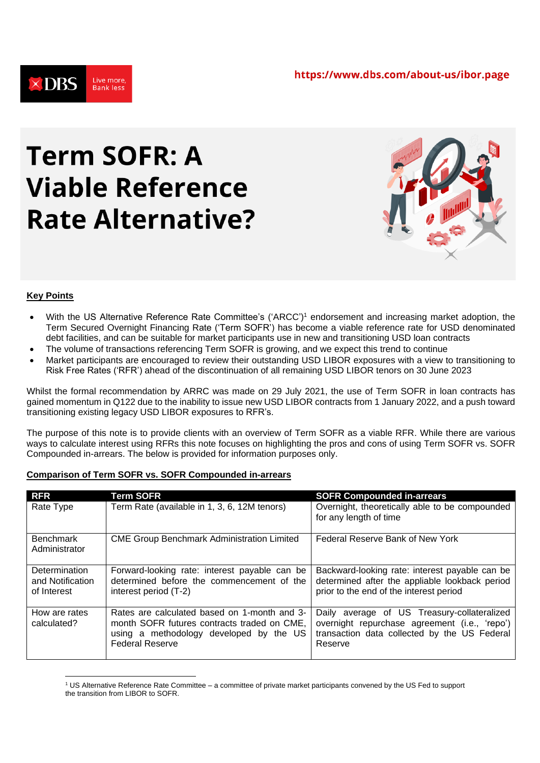

# **Term SOFR: A Viable Reference Rate Alternative?**



# **Key Points**

- With the US Alternative Reference Rate Committee's ('ARCC') <sup>1</sup> endorsement and increasing market adoption, the Term Secured Overnight Financing Rate ('Term SOFR') has become a viable reference rate for USD denominated debt facilities, and can be suitable for market participants use in new and transitioning USD loan contracts
- The volume of transactions referencing Term SOFR is growing, and we expect this trend to continue
- Market participants are encouraged to review their outstanding USD LIBOR exposures with a view to transitioning to Risk Free Rates ('RFR') ahead of the discontinuation of all remaining USD LIBOR tenors on 30 June 2023

Whilst the formal recommendation by ARRC was made on 29 July 2021, the use of Term SOFR in loan contracts has gained momentum in Q122 due to the inability to issue new USD LIBOR contracts from 1 January 2022, and a push toward transitioning existing legacy USD LIBOR exposures to RFR's.

The purpose of this note is to provide clients with an overview of Term SOFR as a viable RFR. While there are various ways to calculate interest using RFRs this note focuses on highlighting the pros and cons of using Term SOFR vs. SOFR Compounded in-arrears. The below is provided for information purposes only.

# **Comparison of Term SOFR vs. SOFR Compounded in-arrears**

| <b>RFR</b>                                       | <b>Term SOFR</b>                                                                                                                                                 | <b>SOFR Compounded in-arrears</b>                                                                                                                         |
|--------------------------------------------------|------------------------------------------------------------------------------------------------------------------------------------------------------------------|-----------------------------------------------------------------------------------------------------------------------------------------------------------|
| Rate Type                                        | Term Rate (available in 1, 3, 6, 12M tenors)                                                                                                                     | Overnight, theoretically able to be compounded<br>for any length of time                                                                                  |
| <b>Benchmark</b><br>Administrator                | <b>CME Group Benchmark Administration Limited</b>                                                                                                                | Federal Reserve Bank of New York                                                                                                                          |
| Determination<br>and Notification<br>of Interest | Forward-looking rate: interest payable can be<br>determined before the commencement of the<br>interest period (T-2)                                              | Backward-looking rate: interest payable can be<br>determined after the appliable lookback period<br>prior to the end of the interest period               |
| How are rates<br>calculated?                     | Rates are calculated based on 1-month and 3-<br>month SOFR futures contracts traded on CME,<br>using a methodology developed by the US<br><b>Federal Reserve</b> | Daily average of US Treasury-collateralized<br>overnight repurchase agreement (i.e., 'repo')  <br>transaction data collected by the US Federal<br>Reserve |

<sup>1</sup> US Alternative Reference Rate Committee – a committee of private market participants convened by the US Fed to support the transition from LIBOR to SOFR.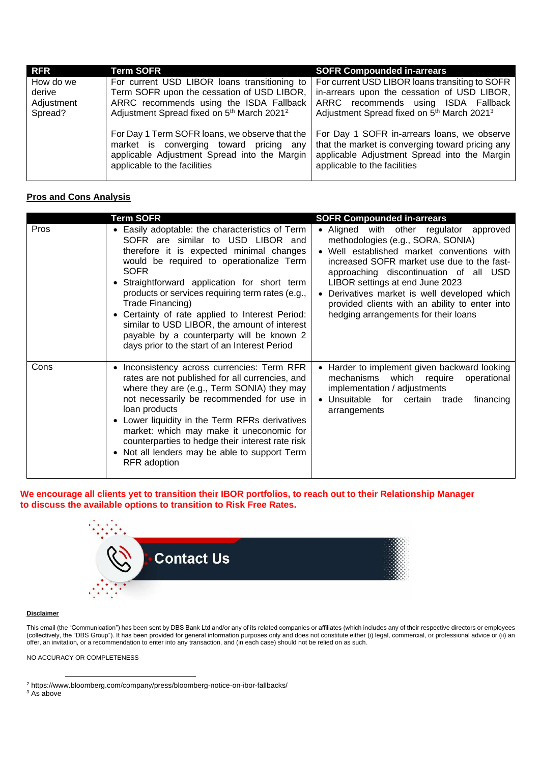| <b>RFR</b>                        | <b>Term SOFR</b>                                                                                                                                                                                                                                | <b>SOFR Compounded in-arrears</b>                                                                                                                                                                                                                     |
|-----------------------------------|-------------------------------------------------------------------------------------------------------------------------------------------------------------------------------------------------------------------------------------------------|-------------------------------------------------------------------------------------------------------------------------------------------------------------------------------------------------------------------------------------------------------|
| How do we<br>derive<br>Adjustment | For current USD LIBOR loans transitioning to<br>Term SOFR upon the cessation of USD LIBOR,<br>ARRC recommends using the ISDA Fallback                                                                                                           | For current USD LIBOR loans transiting to SOFR<br>in-arrears upon the cessation of USD LIBOR,<br>ARRC recommends using ISDA Fallback                                                                                                                  |
| Spread?                           | Adjustment Spread fixed on 5 <sup>th</sup> March 2021 <sup>2</sup><br>For Day 1 Term SOFR loans, we observe that the<br>market is converging toward pricing any<br>applicable Adjustment Spread into the Margin<br>applicable to the facilities | Adjustment Spread fixed on 5 <sup>th</sup> March 2021 <sup>3</sup><br>For Day 1 SOFR in-arrears loans, we observe<br>that the market is converging toward pricing any<br>applicable Adjustment Spread into the Margin<br>applicable to the facilities |

## **Pros and Cons Analysis**

|      | <b>Term SOFR</b>                                                                                                                                                                                                                                                                                                                                                                                                                                                                                          | <b>SOFR Compounded in-arrears</b>                                                                                                                                                                                                                                                                                                                                                             |
|------|-----------------------------------------------------------------------------------------------------------------------------------------------------------------------------------------------------------------------------------------------------------------------------------------------------------------------------------------------------------------------------------------------------------------------------------------------------------------------------------------------------------|-----------------------------------------------------------------------------------------------------------------------------------------------------------------------------------------------------------------------------------------------------------------------------------------------------------------------------------------------------------------------------------------------|
| Pros | • Easily adoptable: the characteristics of Term<br>SOFR are similar to USD LIBOR and<br>therefore it is expected minimal changes<br>would be required to operationalize Term<br>SOFR<br>Straightforward application for short term<br>products or services requiring term rates (e.g.,<br>Trade Financing)<br>Certainty of rate applied to Interest Period:<br>similar to USD LIBOR, the amount of interest<br>payable by a counterparty will be known 2<br>days prior to the start of an Interest Period | • Aligned with other regulator approved<br>methodologies (e.g., SORA, SONIA)<br>• Well established market conventions with<br>increased SOFR market use due to the fast-<br>approaching discontinuation of all USD<br>LIBOR settings at end June 2023<br>Derivatives market is well developed which<br>provided clients with an ability to enter into<br>hedging arrangements for their loans |
| Cons | • Inconsistency across currencies: Term RFR<br>rates are not published for all currencies, and<br>where they are (e.g., Term SONIA) they may<br>not necessarily be recommended for use in<br>loan products<br>• Lower liquidity in the Term RFRs derivatives<br>market: which may make it uneconomic for<br>counterparties to hedge their interest rate risk<br>• Not all lenders may be able to support Term<br>RFR adoption                                                                             | • Harder to implement given backward looking<br>mechanisms which require operational<br>implementation / adjustments<br>• Unsuitable for<br>certain trade<br>financing<br>arrangements                                                                                                                                                                                                        |

## **We encourage all clients yet to transition their IBOR portfolios, to reach out to their Relationship Manager to discuss the available options to transition to Risk Free Rates.**



### **Disclaimer**

This email (the "Communication") has been sent by DBS Bank Ltd and/or any of its related companies or affiliates (which includes any of their respective directors or employees (collectively, the "DBS Group"). It has been provided for general information purposes only and does not constitute either (i) legal, commercial, or professional advice or (ii) an offer, an invitation, or a recommendation to enter into any transaction, and (in each case) should not be relied on as such.

NO ACCURACY OR COMPLETENESS

<sup>3</sup> As above

<sup>2</sup> https://www.bloomberg.com/company/press/bloomberg-notice-on-ibor-fallbacks/